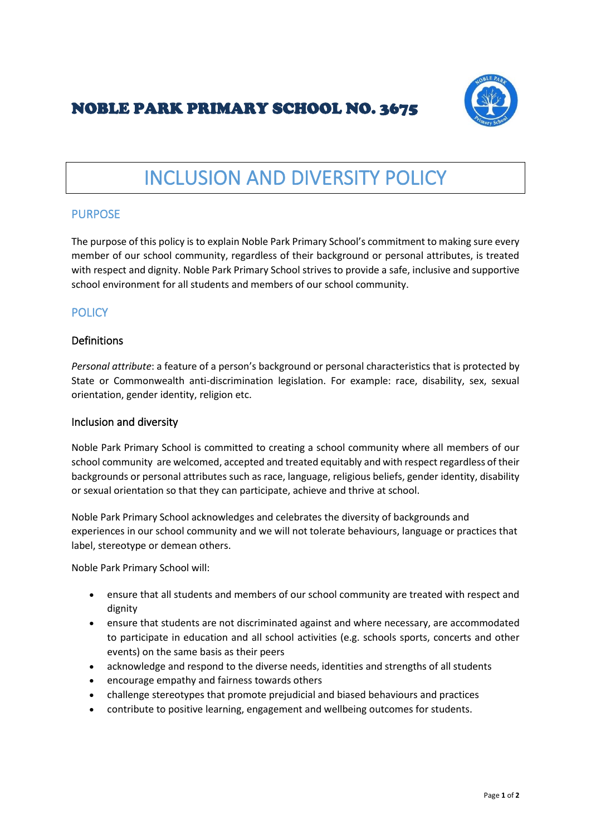# NOBLE PARK PRIMARY SCHOOL NO. 3675



# INCLUSION AND DIVERSITY POLICY

#### PURPOSE

The purpose of this policy is to explain Noble Park Primary School's commitment to making sure every member of our school community, regardless of their background or personal attributes, is treated with respect and dignity. Noble Park Primary School strives to provide a safe, inclusive and supportive school environment for all students and members of our school community.

## **POLICY**

#### Definitions

*Personal attribute*: a feature of a person's background or personal characteristics that is protected by State or Commonwealth anti-discrimination legislation. For example: race, disability, sex, sexual orientation, gender identity, religion etc.

#### Inclusion and diversity

Noble Park Primary School is committed to creating a school community where all members of our school community are welcomed, accepted and treated equitably and with respect regardless of their backgrounds or personal attributes such as race, language, religious beliefs, gender identity, disability or sexual orientation so that they can participate, achieve and thrive at school.

Noble Park Primary School acknowledges and celebrates the diversity of backgrounds and experiences in our school community and we will not tolerate behaviours, language or practices that label, stereotype or demean others.

Noble Park Primary School will:

- ensure that all students and members of our school community are treated with respect and dignity
- ensure that students are not discriminated against and where necessary, are accommodated to participate in education and all school activities (e.g. schools sports, concerts and other events) on the same basis as their peers
- acknowledge and respond to the diverse needs, identities and strengths of all students
- encourage empathy and fairness towards others
- challenge stereotypes that promote prejudicial and biased behaviours and practices
- contribute to positive learning, engagement and wellbeing outcomes for students.